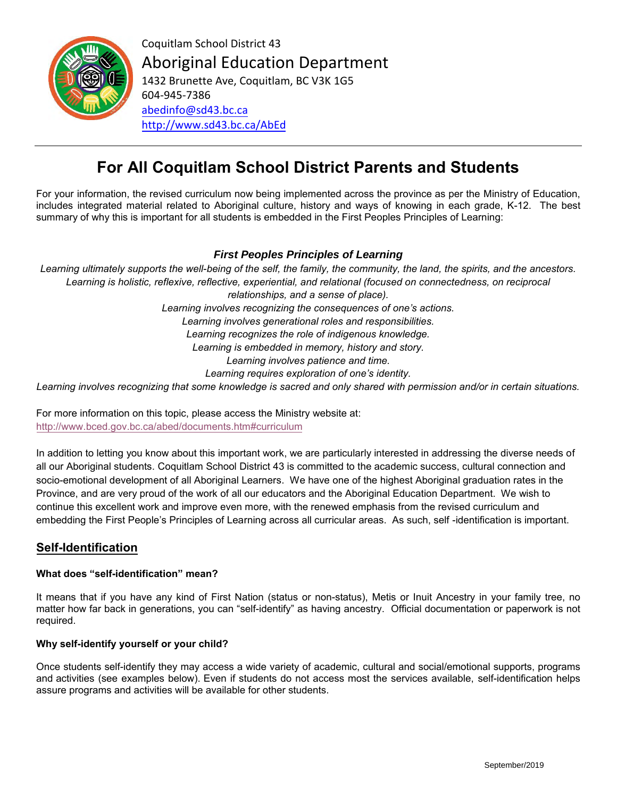

Coquitlam School District 43 Aboriginal Education Department

1432 Brunette Ave, Coquitlam, BC V3K 1G5 604-945-7386 [abedinfo@sd43.bc.ca](mailto:abedinfo@sd43.bc.ca) <http://www.sd43.bc.ca/AbEd>

# **For All Coquitlam School District Parents and Students**

For your information, the revised curriculum now being implemented across the province as per the Ministry of Education, includes integrated material related to Aboriginal culture, history and ways of knowing in each grade, K-12. The best summary of why this is important for all students is embedded in the First Peoples Principles of Learning:

### *First Peoples Principles of Learning*

*Learning ultimately supports the well-being of the self, the family, the community, the land, the spirits, and the ancestors.*  Learning is holistic, reflexive, reflective, experiential, and relational (focused on connectedness, on reciprocal *relationships, and a sense of place). Learning involves recognizing the consequences of one's actions. Learning involves generational roles and responsibilities. Learning recognizes the role of indigenous knowledge. Learning is embedded in memory, history and story. Learning involves patience and time. Learning requires exploration of one's identity.*

*Learning involves recognizing that some knowledge is sacred and only shared with permission and/or in certain situations.* 

For more information on this topic, please access the Ministry website at: <http://www.bced.gov.bc.ca/abed/documents.htm#curriculum>

In addition to letting you know about this important work, we are particularly interested in addressing the diverse needs of all our Aboriginal students. Coquitlam School District 43 is committed to the academic success, cultural connection and socio-emotional development of all Aboriginal Learners. We have one of the highest Aboriginal graduation rates in the Province, and are very proud of the work of all our educators and the Aboriginal Education Department. We wish to continue this excellent work and improve even more, with the renewed emphasis from the revised curriculum and embedding the First People's Principles of Learning across all curricular areas. As such, self -identification is important.

## **Self-Identification**

#### **What does "self-identification" mean?**

It means that if you have any kind of First Nation (status or non-status), Metis or Inuit Ancestry in your family tree, no matter how far back in generations, you can "self-identify" as having ancestry. Official documentation or paperwork is not required.

#### **Why self-identify yourself or your child?**

Once students self-identify they may access a wide variety of academic, cultural and social/emotional supports, programs and activities (see examples below). Even if students do not access most the services available, self-identification helps assure programs and activities will be available for other students.